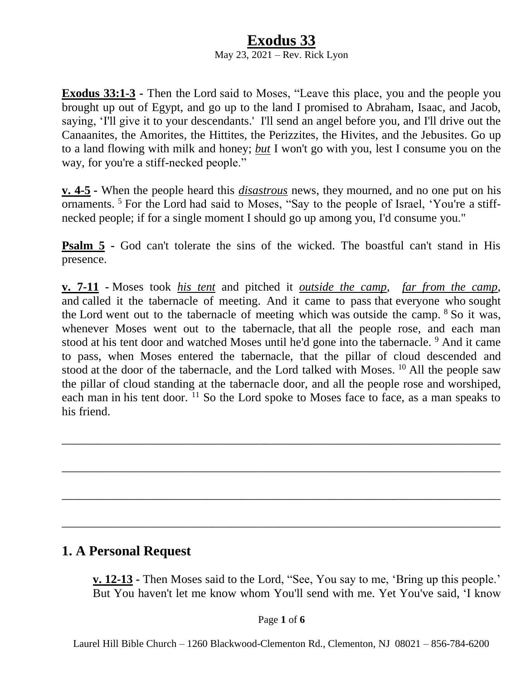#### **Exodus 33** May 23, 2021 – Rev. Rick Lyon

**Exodus 33:1-3 -** Then the Lord said to Moses, "Leave this place, you and the people you brought up out of Egypt, and go up to the land I promised to Abraham, Isaac, and Jacob, saying, 'I'll give it to your descendants.' I'll send an angel before you, and I'll drive out the Canaanites, the Amorites, the Hittites, the Perizzites, the Hivites, and the Jebusites. Go up to a land flowing with milk and honey; *but* I won't go with you, lest I consume you on the way, for you're a stiff-necked people."

**v. 4-5 -** When the people heard this *disastrous* news, they mourned, and no one put on his ornaments.<sup>5</sup> For the Lord had said to Moses, "Say to the people of Israel, 'You're a stiffnecked people; if for a single moment I should go up among you, I'd consume you."

**Psalm 5 -** God can't tolerate the sins of the wicked. The boastful can't stand in His presence.

**v. 7-11 -** Moses took *his tent* and pitched it *outside the camp*, *far from the camp*, and called it the tabernacle of meeting. And it came to pass that everyone who sought the Lord went out to the tabernacle of meeting which was outside the camp. <sup>8</sup> So it was, whenever Moses went out to the tabernacle, that all the people rose, and each man stood at his tent door and watched Moses until he'd gone into the tabernacle. <sup>9</sup> And it came to pass, when Moses entered the tabernacle, that the pillar of cloud descended and stood at the door of the tabernacle, and the Lord talked with Moses.  $^{10}$  All the people saw the pillar of cloud standing at the tabernacle door, and all the people rose and worshiped, each man in his tent door.  $11$  So the Lord spoke to Moses face to face, as a man speaks to his friend.

\_\_\_\_\_\_\_\_\_\_\_\_\_\_\_\_\_\_\_\_\_\_\_\_\_\_\_\_\_\_\_\_\_\_\_\_\_\_\_\_\_\_\_\_\_\_\_\_\_\_\_\_\_\_\_\_\_\_\_\_\_\_\_\_\_\_\_\_\_\_\_\_\_

\_\_\_\_\_\_\_\_\_\_\_\_\_\_\_\_\_\_\_\_\_\_\_\_\_\_\_\_\_\_\_\_\_\_\_\_\_\_\_\_\_\_\_\_\_\_\_\_\_\_\_\_\_\_\_\_\_\_\_\_\_\_\_\_\_\_\_\_\_\_\_\_\_

\_\_\_\_\_\_\_\_\_\_\_\_\_\_\_\_\_\_\_\_\_\_\_\_\_\_\_\_\_\_\_\_\_\_\_\_\_\_\_\_\_\_\_\_\_\_\_\_\_\_\_\_\_\_\_\_\_\_\_\_\_\_\_\_\_\_\_\_\_\_\_\_\_

\_\_\_\_\_\_\_\_\_\_\_\_\_\_\_\_\_\_\_\_\_\_\_\_\_\_\_\_\_\_\_\_\_\_\_\_\_\_\_\_\_\_\_\_\_\_\_\_\_\_\_\_\_\_\_\_\_\_\_\_\_\_\_\_\_\_\_\_\_\_\_\_\_

### **1. A Personal Request**

**v. 12-13 -** Then Moses said to the Lord, "See, You say to me, 'Bring up this people.' But You haven't let me know whom You'll send with me. Yet You've said, 'I know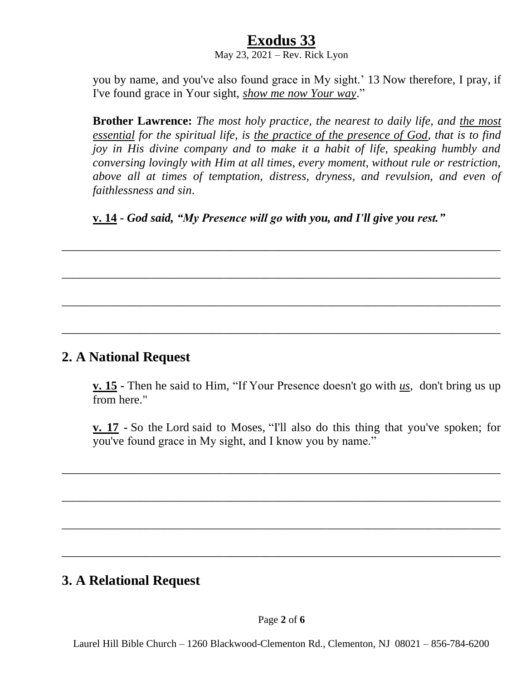May  $23, 2021$  – Rev. Rick Lyon

you by name, and you've also found grace in My sight.' 13 Now therefore, I pray, if I've found grace in Your sight, *show me now Your way*."

**Brother Lawrence:** *The most holy practice, the nearest to daily life, and the most essential for the spiritual life, is the practice of the presence of God, that is to find joy in His divine company and to make it a habit of life, speaking humbly and conversing lovingly with Him at all times, every moment, without rule or restriction, above all at times of temptation, distress, dryness, and revulsion, and even of faithlessness and sin*.

**v. 14 -** *God said, "My Presence will go with you, and I'll give you rest."*

\_\_\_\_\_\_\_\_\_\_\_\_\_\_\_\_\_\_\_\_\_\_\_\_\_\_\_\_\_\_\_\_\_\_\_\_\_\_\_\_\_\_\_\_\_\_\_\_\_\_\_\_\_\_\_\_\_\_\_\_\_\_\_\_\_\_\_\_\_\_\_\_\_

\_\_\_\_\_\_\_\_\_\_\_\_\_\_\_\_\_\_\_\_\_\_\_\_\_\_\_\_\_\_\_\_\_\_\_\_\_\_\_\_\_\_\_\_\_\_\_\_\_\_\_\_\_\_\_\_\_\_\_\_\_\_\_\_\_\_\_\_\_\_\_\_\_

\_\_\_\_\_\_\_\_\_\_\_\_\_\_\_\_\_\_\_\_\_\_\_\_\_\_\_\_\_\_\_\_\_\_\_\_\_\_\_\_\_\_\_\_\_\_\_\_\_\_\_\_\_\_\_\_\_\_\_\_\_\_\_\_\_\_\_\_\_\_\_\_\_

\_\_\_\_\_\_\_\_\_\_\_\_\_\_\_\_\_\_\_\_\_\_\_\_\_\_\_\_\_\_\_\_\_\_\_\_\_\_\_\_\_\_\_\_\_\_\_\_\_\_\_\_\_\_\_\_\_\_\_\_\_\_\_\_\_\_\_\_\_\_\_\_\_

### **2. A National Request**

**v. 15 -** Then he said to Him, "If Your Presence doesn't go with *us*, don't bring us up from here."

**v. 17 -** So the Lord said to Moses, "I'll also do this thing that you've spoken; for you've found grace in My sight, and I know you by name."

\_\_\_\_\_\_\_\_\_\_\_\_\_\_\_\_\_\_\_\_\_\_\_\_\_\_\_\_\_\_\_\_\_\_\_\_\_\_\_\_\_\_\_\_\_\_\_\_\_\_\_\_\_\_\_\_\_\_\_\_\_\_\_\_\_\_\_\_\_\_\_\_\_

\_\_\_\_\_\_\_\_\_\_\_\_\_\_\_\_\_\_\_\_\_\_\_\_\_\_\_\_\_\_\_\_\_\_\_\_\_\_\_\_\_\_\_\_\_\_\_\_\_\_\_\_\_\_\_\_\_\_\_\_\_\_\_\_\_\_\_\_\_\_\_\_\_

\_\_\_\_\_\_\_\_\_\_\_\_\_\_\_\_\_\_\_\_\_\_\_\_\_\_\_\_\_\_\_\_\_\_\_\_\_\_\_\_\_\_\_\_\_\_\_\_\_\_\_\_\_\_\_\_\_\_\_\_\_\_\_\_\_\_\_\_\_\_\_\_\_

\_\_\_\_\_\_\_\_\_\_\_\_\_\_\_\_\_\_\_\_\_\_\_\_\_\_\_\_\_\_\_\_\_\_\_\_\_\_\_\_\_\_\_\_\_\_\_\_\_\_\_\_\_\_\_\_\_\_\_\_\_\_\_\_\_\_\_\_\_\_\_\_\_

### **3. A Relational Request**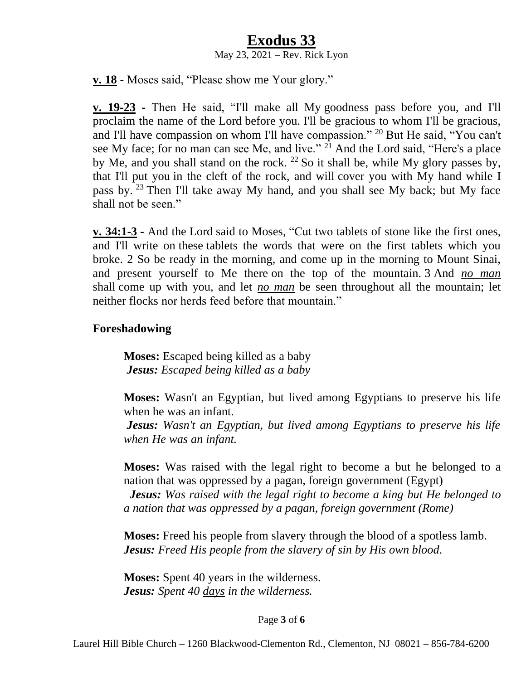May  $23, 2021$  – Rev. Rick Lyon

**v. 18 -** Moses said, "Please show me Your glory."

**v. 19-23 -** Then He said, "I'll make all My goodness pass before you, and I'll proclaim the name of the Lord before you. I'll be gracious to whom I'll be gracious, and I'll have compassion on whom I'll have compassion." <sup>20</sup> But He said, "You can't see My face; for no man can see Me, and live."  $2^{1}$  And the Lord said, "Here's a place by Me, and you shall stand on the rock. <sup>22</sup> So it shall be, while My glory passes by, that I'll put you in the cleft of the rock, and will cover you with My hand while I pass by. <sup>23</sup> Then I'll take away My hand, and you shall see My back; but My face shall not be seen."

**v. 34:1-3 -** And the Lord said to Moses, "Cut two tablets of stone like the first ones, and I'll write on these tablets the words that were on the first tablets which you broke. 2 So be ready in the morning, and come up in the morning to Mount Sinai, and present yourself to Me there on the top of the mountain. 3 And *no man* shall come up with you, and let *no man* be seen throughout all the mountain; let neither flocks nor herds feed before that mountain."

#### **Foreshadowing**

**Moses:** Escaped being killed as a baby *Jesus: Escaped being killed as a baby* 

**Moses:** Wasn't an Egyptian, but lived among Egyptians to preserve his life when he was an infant.

*Jesus: Wasn't an Egyptian, but lived among Egyptians to preserve his life when He was an infant.*

**Moses:** Was raised with the legal right to become a but he belonged to a nation that was oppressed by a pagan, foreign government (Egypt)

 *Jesus: Was raised with the legal right to become a king but He belonged to a nation that was oppressed by a pagan, foreign government (Rome)*

**Moses:** Freed his people from slavery through the blood of a spotless lamb. *Jesus: Freed His people from the slavery of sin by His own blood.*

**Moses:** Spent 40 years in the wilderness. *Jesus: Spent 40 days in the wilderness.*

#### Page **3** of **6**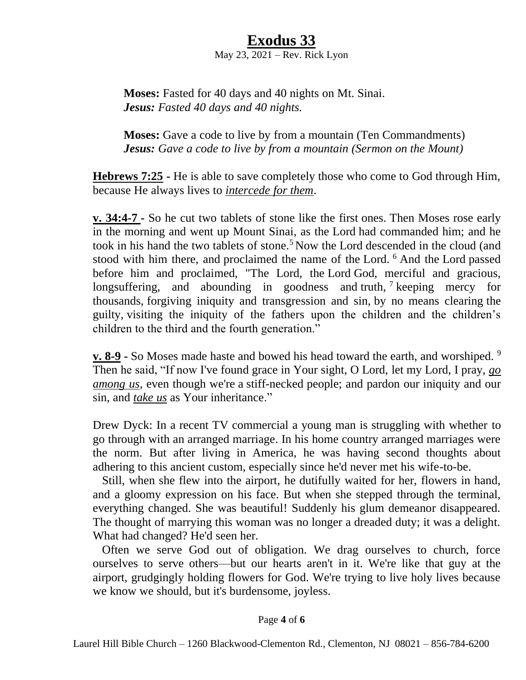#### **Exodus 33** May  $23, 2021$  – Rev. Rick Lyon

**Moses:** Fasted for 40 days and 40 nights on Mt. Sinai. *Jesus: Fasted 40 days and 40 nights.*

**Moses:** Gave a code to live by from a mountain (Ten Commandments) *Jesus: Gave a code to live by from a mountain (Sermon on the Mount)*

**Hebrews 7:25 -** He is able to save completely those who come to God through Him, because He always lives to *intercede for them*.

**v. 34:4-7 -** So he cut two tablets of stone like the first ones. Then Moses rose early in the morning and went up Mount Sinai, as the Lord had commanded him; and he took in his hand the two tablets of stone.<sup>5</sup> Now the Lord descended in the cloud (and stood with him there, and proclaimed the name of the Lord. <sup>6</sup> And the Lord passed before him and proclaimed, "The Lord, the Lord God, merciful and gracious, longsuffering, and abounding in goodness and truth,  $\frac{1}{2}$  keeping mercy for thousands, forgiving iniquity and transgression and sin, by no means clearing the guilty, visiting the iniquity of the fathers upon the children and the children's children to the third and the fourth generation."

**v. 8-9 -** So Moses made haste and bowed his head toward the earth, and worshiped. <sup>9</sup> Then he said, "If now I've found grace in Your sight, O Lord, let my Lord, I pray, *go among us*, even though we're a stiff-necked people; and pardon our iniquity and our sin, and *take us* as Your inheritance."

Drew Dyck: In a recent TV commercial a young man is struggling with whether to go through with an arranged marriage. In his home country arranged marriages were the norm. But after living in America, he was having second thoughts about adhering to this ancient custom, especially since he'd never met his wife-to-be.

 Still, when she flew into the airport, he dutifully waited for her, flowers in hand, and a gloomy expression on his face. But when she stepped through the terminal, everything changed. She was beautiful! Suddenly his glum demeanor disappeared. The thought of marrying this woman was no longer a dreaded duty; it was a delight. What had changed? He'd seen her.

 Often we serve God out of obligation. We drag ourselves to church, force ourselves to serve others—but our hearts aren't in it. We're like that guy at the airport, grudgingly holding flowers for God. We're trying to live holy lives because we know we should, but it's burdensome, joyless.

#### Page **4** of **6**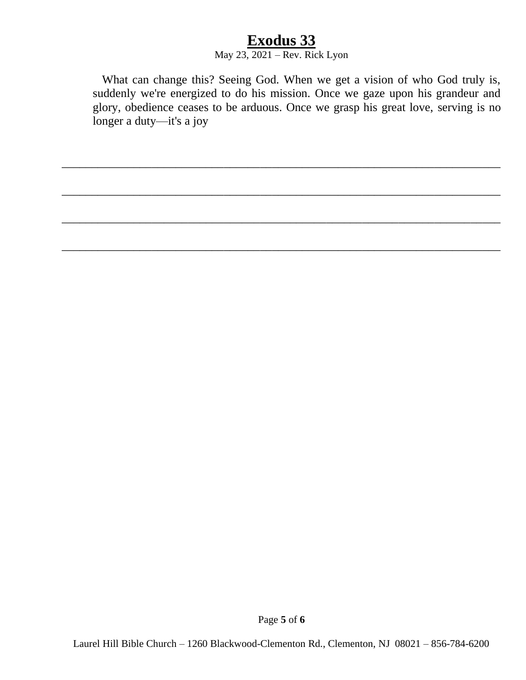#### May  $23, 2021$  – Rev. Rick Lyon

\_\_\_\_\_\_\_\_\_\_\_\_\_\_\_\_\_\_\_\_\_\_\_\_\_\_\_\_\_\_\_\_\_\_\_\_\_\_\_\_\_\_\_\_\_\_\_\_\_\_\_\_\_\_\_\_\_\_\_\_\_\_\_\_\_\_\_\_\_\_\_\_\_

\_\_\_\_\_\_\_\_\_\_\_\_\_\_\_\_\_\_\_\_\_\_\_\_\_\_\_\_\_\_\_\_\_\_\_\_\_\_\_\_\_\_\_\_\_\_\_\_\_\_\_\_\_\_\_\_\_\_\_\_\_\_\_\_\_\_\_\_\_\_\_\_\_

\_\_\_\_\_\_\_\_\_\_\_\_\_\_\_\_\_\_\_\_\_\_\_\_\_\_\_\_\_\_\_\_\_\_\_\_\_\_\_\_\_\_\_\_\_\_\_\_\_\_\_\_\_\_\_\_\_\_\_\_\_\_\_\_\_\_\_\_\_\_\_\_\_

\_\_\_\_\_\_\_\_\_\_\_\_\_\_\_\_\_\_\_\_\_\_\_\_\_\_\_\_\_\_\_\_\_\_\_\_\_\_\_\_\_\_\_\_\_\_\_\_\_\_\_\_\_\_\_\_\_\_\_\_\_\_\_\_\_\_\_\_\_\_\_\_\_

 What can change this? Seeing God. When we get a vision of who God truly is, suddenly we're energized to do his mission. Once we gaze upon his grandeur and glory, obedience ceases to be arduous. Once we grasp his great love, serving is no longer a duty—it's a joy